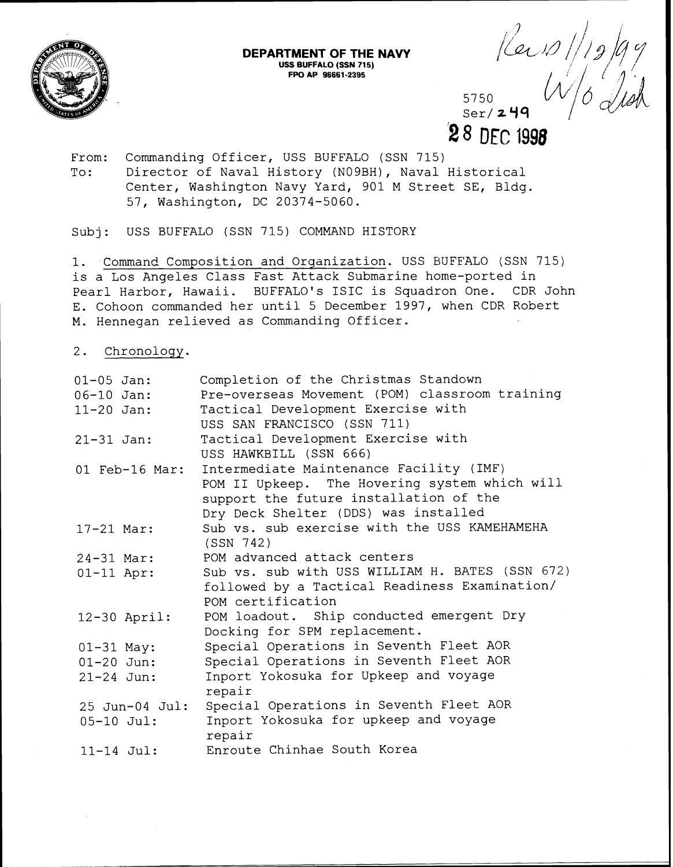

## **DEPARTMENT OF THE NAVY USS BUFFALO (SSN 715) FPO AP 96661-2395**

5750  $\text{Ser}/249$ 28 DEC 1998

Keip

From: Commanding Officer, USS BUFFALO (SSN 715) To: Director of Naval History (NO9BH), Naval Historical

Center, Washington Navy Yard, 901 M Street SE, Bldg. 57, Washington, DC 20374-5060.

Subj: USS BUFFALO (SSN 715) COMMAND HISTORY

1. Command Composition and Organization. USS BUFFALO (SSN 715) is a Los Angeles Class Fast Attack Submarine home-ported in Pearl Harbor, Hawaii. BUFFALO'S ISIC is Squadron One. CDR John E. Cohoon commanded her until 5 December 1997, when CDR Robert M. Hennegan relieved as Commanding Officer.

2. Chronology.

| $01 - 05$ Jan: | Completion of the Christmas Standown            |
|----------------|-------------------------------------------------|
| $06 - 10$ Jan: | Pre-overseas Movement (POM) classroom training  |
| $11 - 20$ Jan: | Tactical Development Exercise with              |
|                | USS SAN FRANCISCO (SSN 711)                     |
| $21 - 31$ Jan: | Tactical Development Exercise with              |
|                | USS HAWKBILL (SSN 666)                          |
| 01 Feb-16 Mar: | Intermediate Maintenance Facility (IMF)         |
|                | POM II Upkeep. The Hovering system which will   |
|                | support the future installation of the          |
|                | Dry Deck Shelter (DDS) was installed            |
| $17 - 21$ Mar: | Sub vs. sub exercise with the USS KAMEHAMEHA    |
|                | (SSN 742)                                       |
| $24 - 31$ Mar: | POM advanced attack centers                     |
| $01-11$ Apr:   | Sub vs. sub with USS WILLIAM H. BATES (SSN 672) |
|                | followed by a Tactical Readiness Examination/   |
|                | POM certification                               |
| $12-30$ April: | POM loadout. Ship conducted emergent Dry        |
|                | Docking for SPM replacement.                    |
| $01-31$ May:   | Special Operations in Seventh Fleet AOR         |
| $01 - 20$ Jun: | Special Operations in Seventh Fleet AOR         |
| $21 - 24$ Jun: | Inport Yokosuka for Upkeep and voyage           |
|                | repair                                          |
| 25 Jun-04 Jul: | Special Operations in Seventh Fleet AOR         |
| $05 - 10$ Jul: | Inport Yokosuka for upkeep and voyage           |
|                | repair                                          |
| $11-14$ Jul:   | Enroute Chinhae South Korea                     |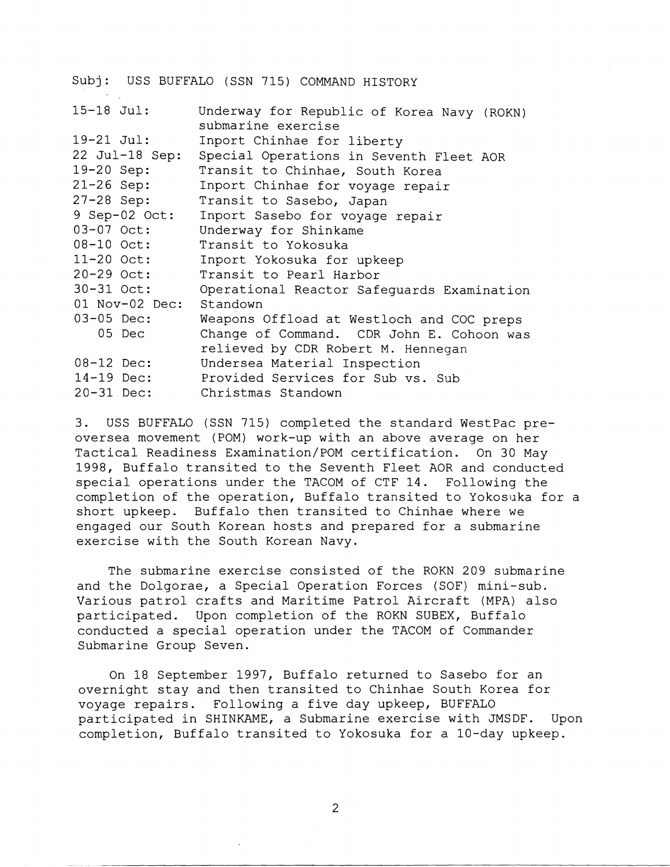|                  | Subj: USS BUFFALO (SSN 715) COMMAND HISTORY                      |
|------------------|------------------------------------------------------------------|
| $15 - 18$ Jul:   | Underway for Republic of Korea Navy (ROKN)<br>submarine exercise |
| $19 - 21$ Jul:   | Inport Chinhae for liberty                                       |
| $22$ Jul-18 Sep: | Special Operations in Seventh Fleet AOR                          |
| 19-20 Sep:       | Transit to Chinhae, South Korea                                  |
| $21 - 26$ Sep:   | Inport Chinhae for voyage repair                                 |
| $27 - 28$ Sep:   | Transit to Sasebo, Japan                                         |
| 9 Sep-02 Oct:    | Inport Sasebo for voyage repair                                  |
| 03-07 Oct:       | Underway for Shinkame                                            |
| 08-10 Oct:       | Transit to Yokosuka                                              |
| $11 - 20$ Oct:   | Inport Yokosuka for upkeep                                       |
| $20 - 29$ Oct:   | Transit to Pearl Harbor                                          |
| $30 - 31$ Oct:   | Operational Reactor Safeguards Examination                       |
| $01$ Nov-02 Dec: | Standown                                                         |
| 03-05 Dec:       | Weapons Offload at Westloch and COC preps                        |
| 05 Dec           | Change of Command. CDR John E. Cohoon was                        |
|                  | relieved by CDR Robert M. Hennegan                               |
| $08-12$ Dec:     | Undersea Material Inspection                                     |
| 14-19 Dec:       | Provided Services for Sub vs. Sub                                |
| $20 - 31$ Dec:   | Christmas Standown                                               |

3. USS BUFFALO (SSN 715) completed the standard WestPac preoversea movement (POM) work-up with an above average on her Tactical Readiness Examination/POM certification. On 30 May 1998, Buffalo transited to the Seventh Fleet AOR and conducted special operations under the TACOM of CTF 14. Following the completion of the operation, Buffalo transited to Yokosuka for a short upkeep. Buffalo then transited to Chinhae where we engaged our South Korean hosts and prepared for a submarine exercise with the South Korean Navy.

The submarine exercise consisted of the ROKN 209 submarine and the Dolgorae, a Special Operation Forces (SOF) mini-sub. Various patrol crafts and Maritime Patrol Aircraft (MPA) also participated. Upon completion of the ROKN SUBEX, Buffalo conducted a special operation under the TACOM of Commander Submarine Group Seven.

On 18 September 1997, Buffalo returned to Sasebo for an overnight stay and then transited to Chinhae South Korea for voyage repairs. Following a five day upkeep, BUFFALO participated in SHINKAME, a Submarine exercise with JMSDF. Upon completion, Buffalo transited to Yokosuka for a 10-day upkeep.